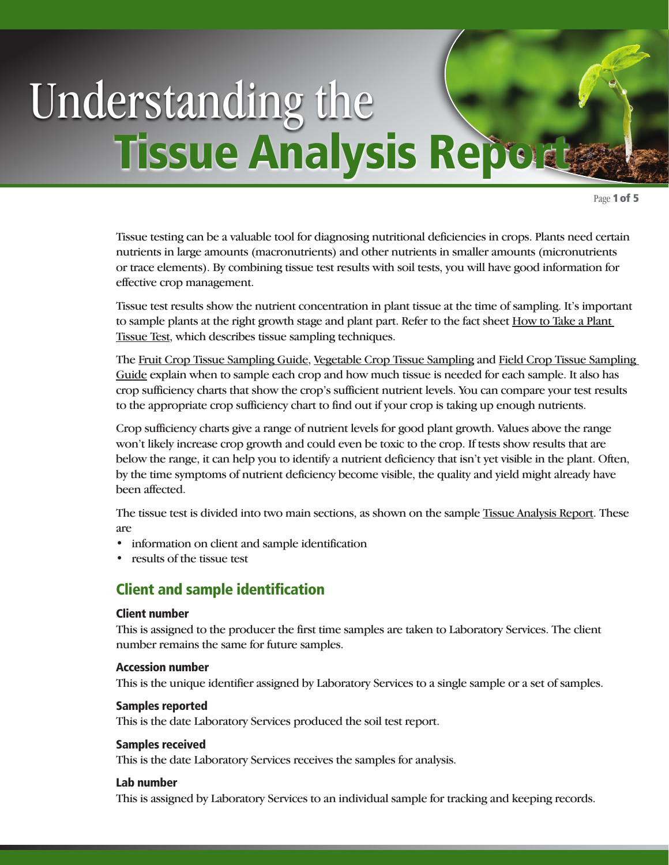# Understanding the **Tissue Analysis Report**

Page 1 of 5

Tissue testing can be a valuable tool for diagnosing nutritional deficiencies in crops. Plants need certain nutrients in large amounts (macronutrients) and other nutrients in smaller amounts (micronutrients or trace elements). By combining tissue test results with soil tests, you will have good information for effective crop management.

Tissue test results show the nutrient concentration in plant tissue at the time of sampling. It's important [to sample plants at the right growth stage and plant part. Refer to the fact sheet How to Take a Plant](http://novascotia.ca/agri/qe/factsheets/howto-planttissue.pdf) Tissue Test, which describes tissue sampling techniques.

The [Fruit Crop Tissue Sampling Guide](http://novascotia.ca/agri/qe/factsheets/fruitcroptissue.pdf), [Vegetable Crop Tissue Sampling](http://novascotia.ca/agri/qe/factsheets/vegecroptissue.pdf) and [Field Crop Tissue Sampling](http://novascotia.ca/agri/qe/factsheets/fieldcroptissue.pdf) Guide explain when to sample each crop and how much tissue is needed for each sample. It also has crop sufficiency charts that show the crop's sufficient nutrient levels. You can compare your test results to the appropriate crop sufficiency chart to find out if your crop is taking up enough nutrients.

Crop sufficiency charts give a range of nutrient levels for good plant growth. Values above the range won't likely increase crop growth and could even be toxic to the crop. If tests show results that are below the range, it can help you to identify a nutrient deficiency that isn't yet visible in the plant. Often, by the time symptoms of nutrient deficiency become visible, the quality and yield might already have been affected.

The tissue test is divided into two main sections, as shown on the sample [Tissue Analysis Report](http://novascotia.ca/agri/qe/factsheets/understand-tissue.pdf). These are

- information on client and sample identification
- results of the tissue test

# Client and sample identification

#### Client number

This is assigned to the producer the first time samples are taken to Laboratory Services. The client number remains the same for future samples.

#### Accession number

This is the unique identifier assigned by Laboratory Services to a single sample or a set of samples.

#### Samples reported

This is the date Laboratory Services produced the soil test report.

#### Samples received

This is the date Laboratory Services receives the samples for analysis.

#### Lab number

This is assigned by Laboratory Services to an individual sample for tracking and keeping records.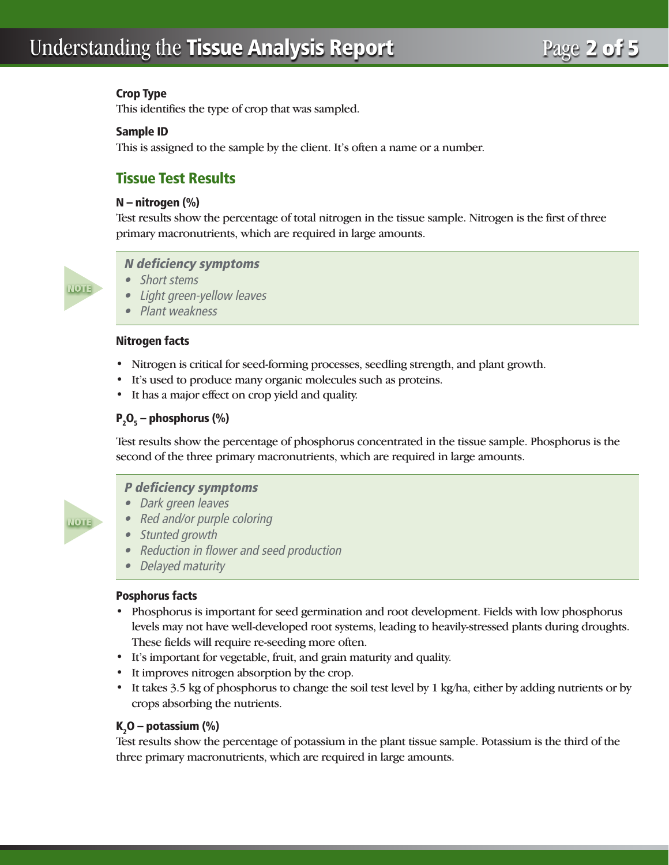# Understanding the Tissue Analysis Report Page 2 of 5

#### Crop Type

This identifies the type of crop that was sampled.

#### Sample ID

This is assigned to the sample by the client. It's often a name or a number.

# Tissue Test Results

#### N – nitrogen (%)

Test results show the percentage of total nitrogen in the tissue sample. Nitrogen is the first of three primary macronutrients, which are required in large amounts.



#### N deficiency symptoms

- Short stems
- • Light green-yellow leaves
- Plant weakness

#### Nitrogen facts

- Nitrogen is critical for seed-forming processes, seedling strength, and plant growth.
- It's used to produce many organic molecules such as proteins.
- It has a major effect on crop yield and quality.

# $P_2O_5$  – phosphorus (%)

Test results show the percentage of phosphorus concentrated in the tissue sample. Phosphorus is the second of the three primary macronutrients, which are required in large amounts.



#### P deficiency symptoms

- Dark green leaves • Red and/or purple coloring
- Stunted growth
- Reduction in flower and seed production
- Delayed maturity

#### Posphorus facts

- Phosphorus is important for seed germination and root development. Fields with low phosphorus levels may not have well-developed root systems, leading to heavily-stressed plants during droughts. These fields will require re-seeding more often.
- It's important for vegetable, fruit, and grain maturity and quality.
- It improves nitrogen absorption by the crop.
- It takes 3.5 kg of phosphorus to change the soil test level by 1 kg/ha, either by adding nutrients or by crops absorbing the nutrients.

# K<sub>2</sub>O – potassium (%)

Test results show the percentage of potassium in the plant tissue sample. Potassium is the third of the three primary macronutrients, which are required in large amounts.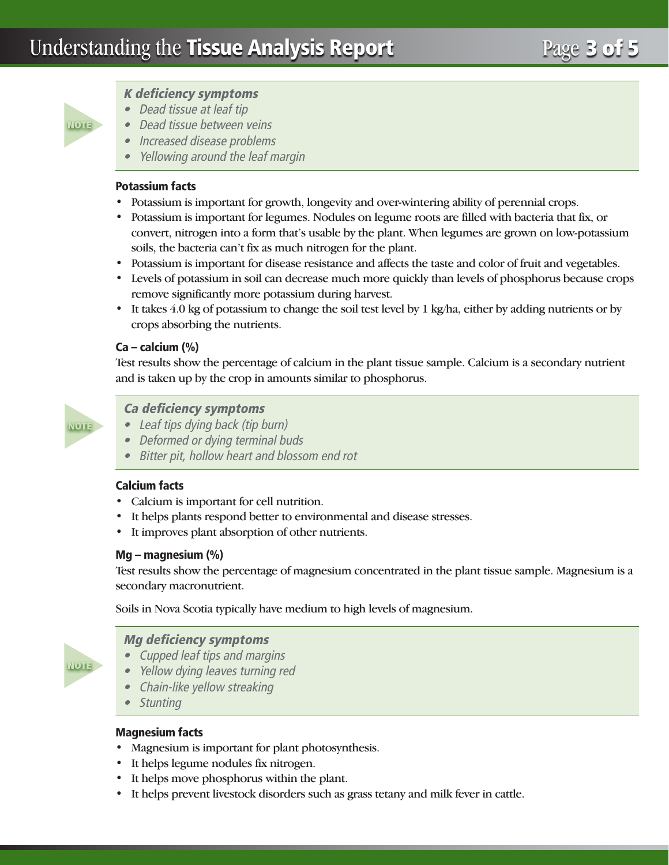

## K deficiency symptoms

- Dead tissue at leaf tip
- Dead tissue between veins
- Increased disease problems
- Yellowing around the leaf margin

#### Potassium facts

- Potassium is important for growth, longevity and over-wintering ability of perennial crops.
- Potassium is important for legumes. Nodules on legume roots are filled with bacteria that fix, or convert, nitrogen into a form that's usable by the plant. When legumes are grown on low-potassium soils, the bacteria can't fix as much nitrogen for the plant.
- Potassium is important for disease resistance and affects the taste and color of fruit and vegetables.
- Levels of potassium in soil can decrease much more quickly than levels of phosphorus because crops remove significantly more potassium during harvest.
- It takes 4.0 kg of potassium to change the soil test level by 1 kg/ha, either by adding nutrients or by crops absorbing the nutrients.

#### Ca – calcium (%)

Test results show the percentage of calcium in the plant tissue sample. Calcium is a secondary nutrient and is taken up by the crop in amounts similar to phosphorus.



#### Ca deficiency symptoms

- Leaf tips dying back (tip burn)
- Deformed or dying terminal buds
- Bitter pit, hollow heart and blossom end rot

#### Calcium facts

- Calcium is important for cell nutrition.
- It helps plants respond better to environmental and disease stresses.
- It improves plant absorption of other nutrients.

#### Mg – magnesium (%)

Test results show the percentage of magnesium concentrated in the plant tissue sample. Magnesium is a secondary macronutrient.

Soils in Nova Scotia typically have medium to high levels of magnesium.



#### Mg deficiency symptoms

- Cupped leaf tips and margins
- Yellow dying leaves turning red
- Chain-like yellow streaking
- • Stunting

#### Magnesium facts

- Magnesium is important for plant photosynthesis.
- It helps legume nodules fix nitrogen.
- It helps move phosphorus within the plant.
- It helps prevent livestock disorders such as grass tetany and milk fever in cattle.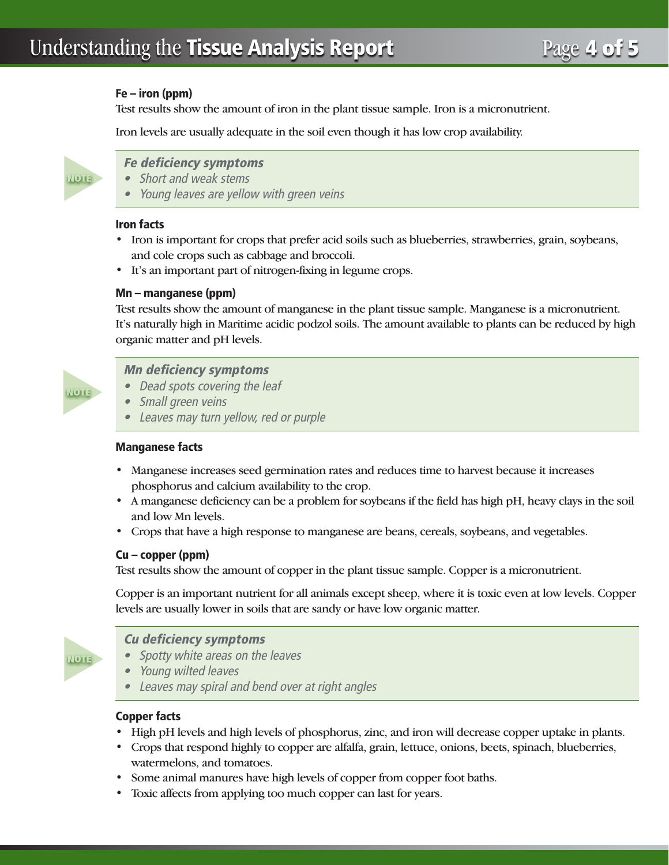#### Fe – iron (ppm)

Test results show the amount of iron in the plant tissue sample. Iron is a micronutrient.

Iron levels are usually adequate in the soil even though it has low crop availability.



### Fe deficiency symptoms

- Short and weak stems
- Young leaves are yellow with green veins

#### Iron facts

- Iron is important for crops that prefer acid soils such as blueberries, strawberries, grain, soybeans, and cole crops such as cabbage and broccoli.
- It's an important part of nitrogen-fixing in legume crops.

#### Mn – manganese (ppm)

Test results show the amount of manganese in the plant tissue sample. Manganese is a micronutrient. It's naturally high in Maritime acidic podzol soils. The amount available to plants can be reduced by high organic matter and pH levels.



#### Mn deficiency symptoms

- Dead spots covering the leaf
- Small green veins
- • Leaves may turn yellow, red or purple

#### Manganese facts

- Manganese increases seed germination rates and reduces time to harvest because it increases phosphorus and calcium availability to the crop.
- A manganese deficiency can be a problem for soybeans if the field has high pH, heavy clays in the soil and low Mn levels.
- Crops that have a high response to manganese are beans, cereals, soybeans, and vegetables.

#### Cu – copper (ppm)

Test results show the amount of copper in the plant tissue sample. Copper is a micronutrient.

Copper is an important nutrient for all animals except sheep, where it is toxic even at low levels. Copper levels are usually lower in soils that are sandy or have low organic matter.



#### Cu deficiency symptoms

- Spotty white areas on the leaves
- Young wilted leaves
- Leaves may spiral and bend over at right angles

#### Copper facts

- High pH levels and high levels of phosphorus, zinc, and iron will decrease copper uptake in plants.
- Crops that respond highly to copper are alfalfa, grain, lettuce, onions, beets, spinach, blueberries, watermelons, and tomatoes.
- Some animal manures have high levels of copper from copper foot baths.
- Toxic affects from applying too much copper can last for years.